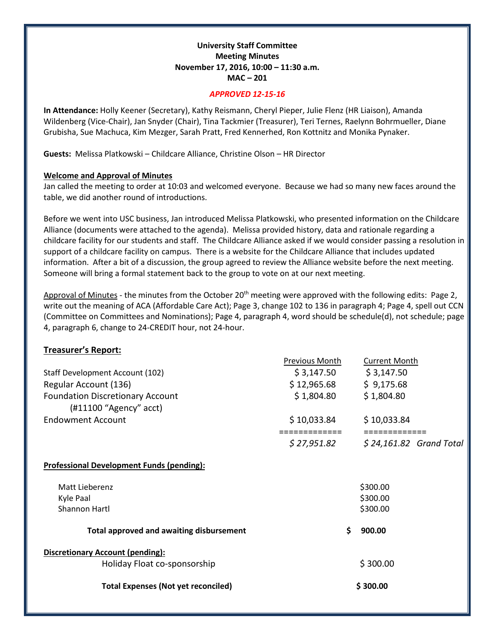# **University Staff Committee Meeting Minutes November 17, 2016, 10:00 – 11:30 a.m. MAC – 201**

### *APPROVED 12-15-16*

**In Attendance:** Holly Keener (Secretary), Kathy Reismann, Cheryl Pieper, Julie Flenz (HR Liaison), Amanda Wildenberg (Vice-Chair), Jan Snyder (Chair), Tina Tackmier (Treasurer), Teri Ternes, Raelynn Bohrmueller, Diane Grubisha, Sue Machuca, Kim Mezger, Sarah Pratt, Fred Kennerhed, Ron Kottnitz and Monika Pynaker.

**Guests:** Melissa Platkowski – Childcare Alliance, Christine Olson – HR Director

## **Welcome and Approval of Minutes**

Jan called the meeting to order at 10:03 and welcomed everyone. Because we had so many new faces around the table, we did another round of introductions.

Before we went into USC business, Jan introduced Melissa Platkowski, who presented information on the Childcare Alliance (documents were attached to the agenda). Melissa provided history, data and rationale regarding a childcare facility for our students and staff. The Childcare Alliance asked if we would consider passing a resolution in support of a childcare facility on campus. There is a website for the Childcare Alliance that includes updated information. After a bit of a discussion, the group agreed to review the Alliance website before the next meeting. Someone will bring a formal statement back to the group to vote on at our next meeting.

Approval of Minutes - the minutes from the October  $20<sup>th</sup>$  meeting were approved with the following edits: Page 2, write out the meaning of ACA (Affordable Care Act); Page 3, change 102 to 136 in paragraph 4; Page 4, spell out CCN (Committee on Committees and Nominations); Page 4, paragraph 4, word should be schedule(d), not schedule; page 4, paragraph 6, change to 24-CREDIT hour, not 24-hour.

# **Treasurer's Report:**

|                          |                                                                   | Previous Month              |    | <b>Current Month</b>         |  |
|--------------------------|-------------------------------------------------------------------|-----------------------------|----|------------------------------|--|
|                          | Staff Development Account (102)                                   | \$3,147.50                  |    | \$3,147.50                   |  |
| Regular Account (136)    |                                                                   | \$12,965.68                 |    | \$9,175.68                   |  |
|                          | <b>Foundation Discretionary Account</b><br>(#11100 "Agency" acct) | \$1,804.80                  |    | \$1,804.80                   |  |
| <b>Endowment Account</b> |                                                                   | \$10,033.84<br>:=========== |    | \$10,033.84<br>============= |  |
|                          |                                                                   | \$ 27,951.82                |    | $$24,161.82$ Grand Total     |  |
|                          | <b>Professional Development Funds (pending):</b>                  |                             |    |                              |  |
| Matt Lieberenz           |                                                                   |                             |    | \$300.00                     |  |
| Kyle Paal                |                                                                   |                             |    | \$300.00                     |  |
| Shannon Hartl            |                                                                   |                             |    | \$300.00                     |  |
|                          | <b>Total approved and awaiting disbursement</b>                   |                             | \$ | 900.00                       |  |
|                          | <b>Discretionary Account (pending):</b>                           |                             |    |                              |  |
|                          | Holiday Float co-sponsorship                                      |                             |    | \$300.00                     |  |
|                          | <b>Total Expenses (Not yet reconciled)</b>                        |                             |    | \$300.00                     |  |
|                          |                                                                   |                             |    |                              |  |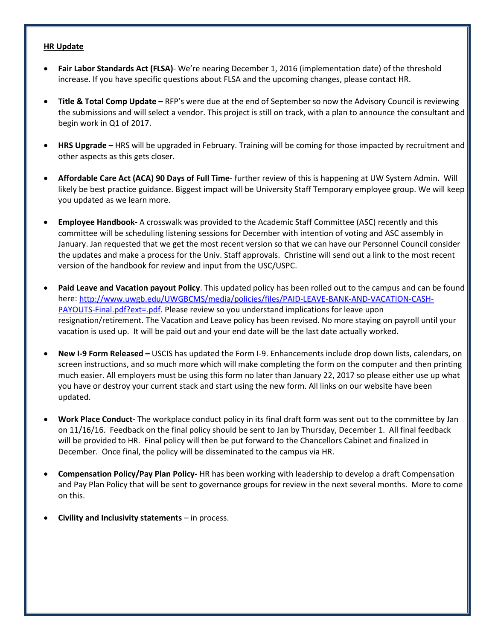### **HR Update**

- **Fair Labor Standards Act (FLSA)** We're nearing December 1, 2016 (implementation date) of the threshold increase. If you have specific questions about FLSA and the upcoming changes, please contact HR.
- **Title & Total Comp Update –** RFP's were due at the end of September so now the Advisory Council is reviewing the submissions and will select a vendor. This project is still on track, with a plan to announce the consultant and begin work in Q1 of 2017.
- **HRS Upgrade –** HRS will be upgraded in February. Training will be coming for those impacted by recruitment and other aspects as this gets closer.
- **Affordable Care Act (ACA) 90 Days of Full Time** further review of this is happening at UW System Admin. Will likely be best practice guidance. Biggest impact will be University Staff Temporary employee group. We will keep you updated as we learn more.
- **Employee Handbook-** A crosswalk was provided to the Academic Staff Committee (ASC) recently and this committee will be scheduling listening sessions for December with intention of voting and ASC assembly in January. Jan requested that we get the most recent version so that we can have our Personnel Council consider the updates and make a process for the Univ. Staff approvals. Christine will send out a link to the most recent version of the handbook for review and input from the USC/USPC.
- **Paid Leave and Vacation payout Policy**. This updated policy has been rolled out to the campus and can be found here: [http://www.uwgb.edu/UWGBCMS/media/policies/files/PAID-LEAVE-BANK-AND-VACATION-CASH-](http://www.uwgb.edu/UWGBCMS/media/policies/files/PAID-LEAVE-BANK-AND-VACATION-CASH-PAYOUTS-Final.pdf?ext=.pdf)[PAYOUTS-Final.pdf?ext=.pdf.](http://www.uwgb.edu/UWGBCMS/media/policies/files/PAID-LEAVE-BANK-AND-VACATION-CASH-PAYOUTS-Final.pdf?ext=.pdf) Please review so you understand implications for leave upon resignation/retirement. The Vacation and Leave policy has been revised. No more staying on payroll until your vacation is used up. It will be paid out and your end date will be the last date actually worked.
- **New I-9 Form Released –** USCIS has updated the Form I-9. Enhancements include drop down lists, calendars, on screen instructions, and so much more which will make completing the form on the computer and then printing much easier. All employers must be using this form no later than January 22, 2017 so please either use up what you have or destroy your current stack and start using the new form. All links on our website have been updated.
- **Work Place Conduct-** The workplace conduct policy in its final draft form was sent out to the committee by Jan on 11/16/16. Feedback on the final policy should be sent to Jan by Thursday, December 1. All final feedback will be provided to HR. Final policy will then be put forward to the Chancellors Cabinet and finalized in December. Once final, the policy will be disseminated to the campus via HR.
- **Compensation Policy/Pay Plan Policy-** HR has been working with leadership to develop a draft Compensation and Pay Plan Policy that will be sent to governance groups for review in the next several months. More to come on this.
- **Civility and Inclusivity statements**  in process.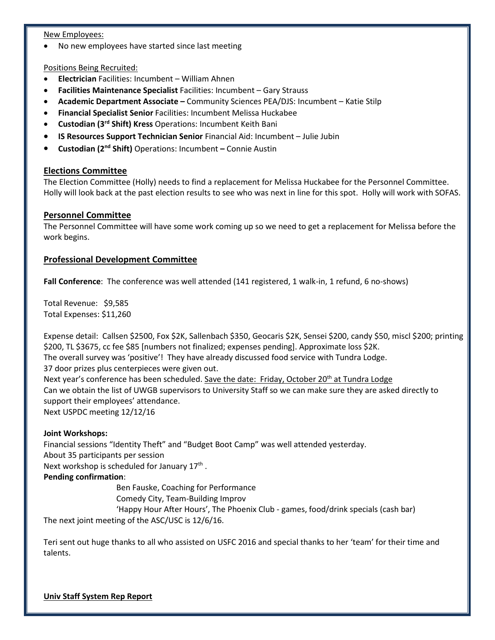### New Employees:

• No new employees have started since last meeting

## Positions Being Recruited:

- **Electrician** Facilities: Incumbent William Ahnen
- **Facilities Maintenance Specialist** Facilities: Incumbent Gary Strauss
- **Academic Department Associate –** Community Sciences PEA/DJS: Incumbent Katie Stilp
- **Financial Specialist Senior** Facilities: Incumbent Melissa Huckabee
- **Custodian (3rd Shift) Kress** Operations: Incumbent Keith Bani
- **IS Resources Support Technician Senior** Financial Aid: Incumbent Julie Jubin
- **Custodian (2nd Shift)** Operations: Incumbent **–** Connie Austin

# **Elections Committee**

The Election Committee (Holly) needs to find a replacement for Melissa Huckabee for the Personnel Committee. Holly will look back at the past election results to see who was next in line for this spot. Holly will work with SOFAS.

# **Personnel Committee**

The Personnel Committee will have some work coming up so we need to get a replacement for Melissa before the work begins.

# **Professional Development Committee**

**Fall Conference**: The conference was well attended (141 registered, 1 walk-in, 1 refund, 6 no-shows)

Total Revenue: \$9,585 Total Expenses: \$11,260

Expense detail: Callsen \$2500, Fox \$2K, Sallenbach \$350, Geocaris \$2K, Sensei \$200, candy \$50, miscl \$200; printing \$200, TL \$3675, cc fee \$85 [numbers not finalized; expenses pending]. Approximate loss \$2K.

The overall survey was 'positive'! They have already discussed food service with Tundra Lodge.

37 door prizes plus centerpieces were given out.

Next year's conference has been scheduled. Save the date: Friday, October 20<sup>th</sup> at Tundra Lodge Can we obtain the list of UWGB supervisors to University Staff so we can make sure they are asked directly to support their employees' attendance. Next USPDC meeting 12/12/16

## **Joint Workshops:**

Financial sessions "Identity Theft" and "Budget Boot Camp" was well attended yesterday. About 35 participants per session Next workshop is scheduled for January 17<sup>th</sup>.

## **Pending confirmation**:

Ben Fauske, Coaching for Performance

Comedy City, Team-Building Improv

'Happy Hour After Hours', The Phoenix Club - games, food/drink specials (cash bar) The next joint meeting of the ASC/USC is 12/6/16.

Teri sent out huge thanks to all who assisted on USFC 2016 and special thanks to her 'team' for their time and talents.

**Univ Staff System Rep Report**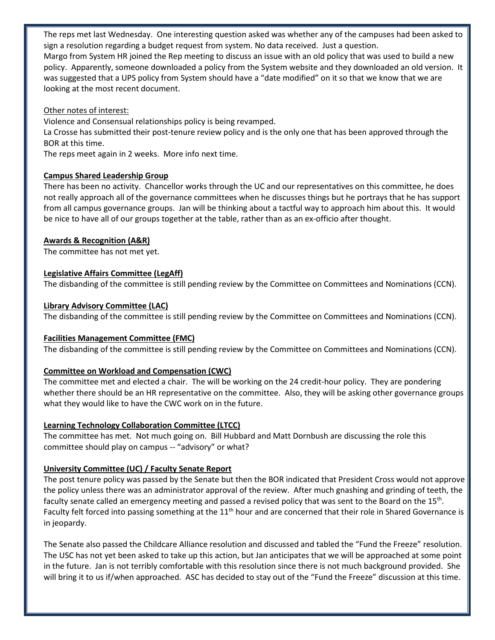The reps met last Wednesday. One interesting question asked was whether any of the campuses had been asked to sign a resolution regarding a budget request from system. No data received. Just a question.

Margo from System HR joined the Rep meeting to discuss an issue with an old policy that was used to build a new policy. Apparently, someone downloaded a policy from the System website and they downloaded an old version. It was suggested that a UPS policy from System should have a "date modified" on it so that we know that we are looking at the most recent document.

## Other notes of interest:

Violence and Consensual relationships policy is being revamped.

La Crosse has submitted their post-tenure review policy and is the only one that has been approved through the BOR at this time.

The reps meet again in 2 weeks. More info next time.

# **Campus Shared Leadership Group**

There has been no activity. Chancellor works through the UC and our representatives on this committee, he does not really approach all of the governance committees when he discusses things but he portrays that he has support from all campus governance groups. Jan will be thinking about a tactful way to approach him about this. It would be nice to have all of our groups together at the table, rather than as an ex-officio after thought.

# **Awards & Recognition (A&R)**

The committee has not met yet.

# **Legislative Affairs Committee (LegAff)**

The disbanding of the committee is still pending review by the Committee on Committees and Nominations (CCN).

# **Library Advisory Committee (LAC)**

The disbanding of the committee is still pending review by the Committee on Committees and Nominations (CCN).

# **Facilities Management Committee (FMC)**

The disbanding of the committee is still pending review by the Committee on Committees and Nominations (CCN).

# **Committee on Workload and Compensation (CWC)**

The committee met and elected a chair. The will be working on the 24 credit-hour policy. They are pondering whether there should be an HR representative on the committee. Also, they will be asking other governance groups what they would like to have the CWC work on in the future.

# **Learning Technology Collaboration Committee (LTCC)**

The committee has met. Not much going on. Bill Hubbard and Matt Dornbush are discussing the role this committee should play on campus -- "advisory" or what?

# **University Committee (UC) / Faculty Senate Report**

The post tenure policy was passed by the Senate but then the BOR indicated that President Cross would not approve the policy unless there was an administrator approval of the review. After much gnashing and grinding of teeth, the faculty senate called an emergency meeting and passed a revised policy that was sent to the Board on the 15th. Faculty felt forced into passing something at the 11<sup>th</sup> hour and are concerned that their role in Shared Governance is in jeopardy.

The Senate also passed the Childcare Alliance resolution and discussed and tabled the "Fund the Freeze" resolution. The USC has not yet been asked to take up this action, but Jan anticipates that we will be approached at some point in the future. Jan is not terribly comfortable with this resolution since there is not much background provided. She will bring it to us if/when approached. ASC has decided to stay out of the "Fund the Freeze" discussion at this time.